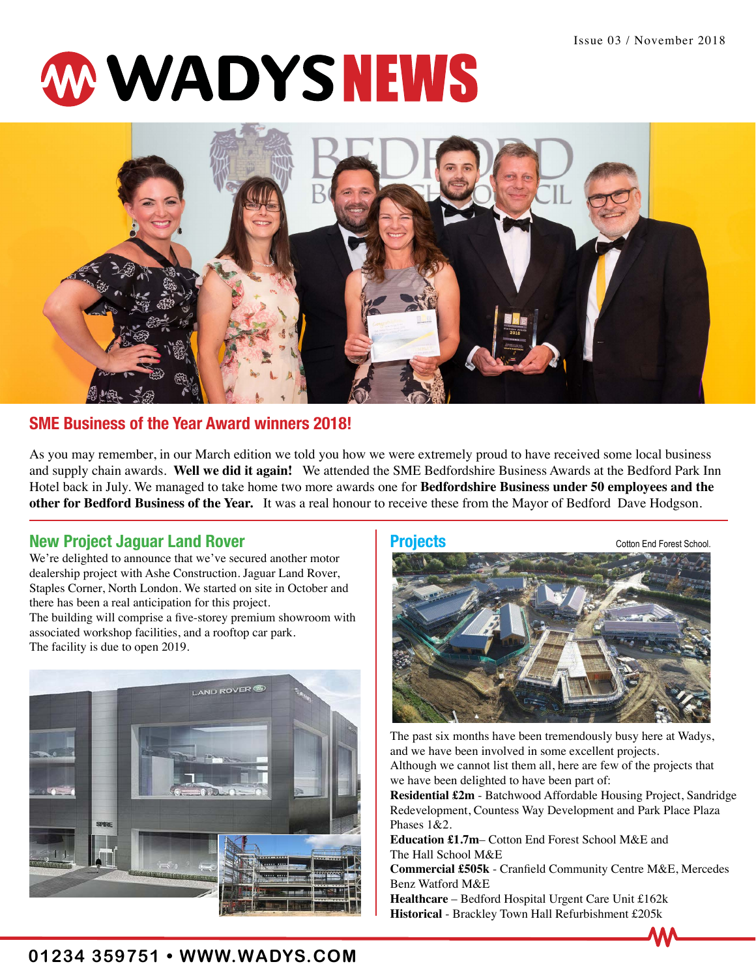# W WADYSNEWS



## **SME Business of the Year Award winners 2018!**

As you may remember, in our March edition we told you how we were extremely proud to have received some local business and supply chain awards. **Well we did it again!** We attended the SME Bedfordshire Business Awards at the Bedford Park Inn Hotel back in July. We managed to take home two more awards one for **Bedfordshire Business under 50 employees and the other for Bedford Business of the Year.** It was a real honour to receive these from the Mayor of Bedford Dave Hodgson.

### **New Project Jaguar Land Rover Projects**

We're delighted to announce that we've secured another motor dealership project with Ashe Construction. Jaguar Land Rover, Staples Corner, North London. We started on site in October and there has been a real anticipation for this project. The building will comprise a five-storey premium showroom with associated workshop facilities, and a rooftop car park. The facility is due to open 2019.





The past six months have been tremendously busy here at Wadys, and we have been involved in some excellent projects. Although we cannot list them all, here are few of the projects that we have been delighted to have been part of:

**Residential £2m** - Batchwood Affordable Housing Project, Sandridge Redevelopment, Countess Way Development and Park Place Plaza Phases 1&2.

**Education £1.7m**– Cotton End Forest School M&E and The Hall School M&E

**Commercial £505k** - Cranfield Community Centre M&E, Mercedes Benz Watford M&E

**Healthcare** – Bedford Hospital Urgent Care Unit £162k **Historical** - Brackley Town Hall Refurbishment £205k

## **01234 359751 • WWW.WADYS.COM**